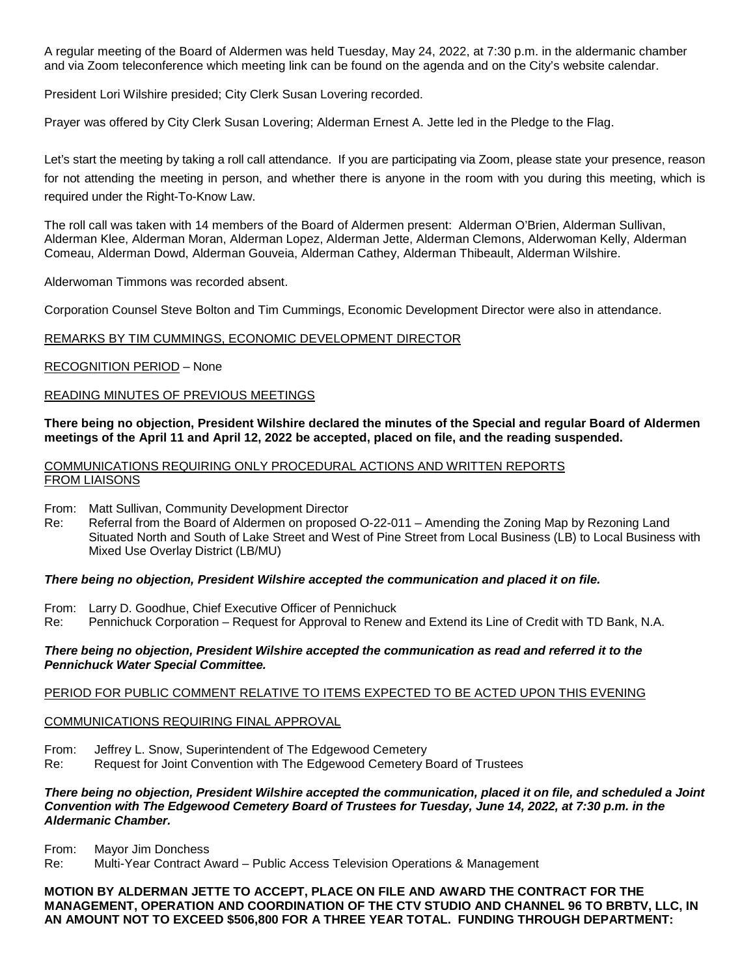A regular meeting of the Board of Aldermen was held Tuesday, May 24, 2022, at 7:30 p.m. in the aldermanic chamber and via Zoom teleconference which meeting link can be found on the agenda and on the City's website calendar.

President Lori Wilshire presided; City Clerk Susan Lovering recorded.

Prayer was offered by City Clerk Susan Lovering; Alderman Ernest A. Jette led in the Pledge to the Flag.

Let's start the meeting by taking a roll call attendance. If you are participating via Zoom, please state your presence, reason for not attending the meeting in person, and whether there is anyone in the room with you during this meeting, which is required under the Right-To-Know Law.

The roll call was taken with 14 members of the Board of Aldermen present: Alderman O'Brien, Alderman Sullivan, Alderman Klee, Alderman Moran, Alderman Lopez, Alderman Jette, Alderman Clemons, Alderwoman Kelly, Alderman Comeau, Alderman Dowd, Alderman Gouveia, Alderman Cathey, Alderman Thibeault, Alderman Wilshire.

Alderwoman Timmons was recorded absent.

Corporation Counsel Steve Bolton and Tim Cummings, Economic Development Director were also in attendance.

#### REMARKS BY TIM CUMMINGS, ECONOMIC DEVELOPMENT DIRECTOR

RECOGNITION PERIOD – None

#### READING MINUTES OF PREVIOUS MEETINGS

#### **There being no objection, President Wilshire declared the minutes of the Special and regular Board of Aldermen meetings of the April 11 and April 12, 2022 be accepted, placed on file, and the reading suspended.**

COMMUNICATIONS REQUIRING ONLY PROCEDURAL ACTIONS AND WRITTEN REPORTS FROM LIAISONS

From: Matt Sullivan, Community Development Director

Re: Referral from the Board of Aldermen on proposed O-22-011 – Amending the Zoning Map by Rezoning Land Situated North and South of Lake Street and West of Pine Street from Local Business (LB) to Local Business with Mixed Use Overlay District (LB/MU)

#### *There being no objection, President Wilshire accepted the communication and placed it on file.*

From: Larry D. Goodhue, Chief Executive Officer of Pennichuck

Re: Pennichuck Corporation – Request for Approval to Renew and Extend its Line of Credit with TD Bank, N.A.

#### *There being no objection, President Wilshire accepted the communication as read and referred it to the Pennichuck Water Special Committee.*

#### PERIOD FOR PUBLIC COMMENT RELATIVE TO ITEMS EXPECTED TO BE ACTED UPON THIS EVENING

#### COMMUNICATIONS REQUIRING FINAL APPROVAL

From: Jeffrey L. Snow, Superintendent of The Edgewood Cemetery

Re: Request for Joint Convention with The Edgewood Cemetery Board of Trustees

#### *There being no objection, President Wilshire accepted the communication, placed it on file, and scheduled a Joint Convention with The Edgewood Cemetery Board of Trustees for Tuesday, June 14, 2022, at 7:30 p.m. in the Aldermanic Chamber.*

From: Mayor Jim Donchess

Re: Multi-Year Contract Award – Public Access Television Operations & Management

#### **MOTION BY ALDERMAN JETTE TO ACCEPT, PLACE ON FILE AND AWARD THE CONTRACT FOR THE MANAGEMENT, OPERATION AND COORDINATION OF THE CTV STUDIO AND CHANNEL 96 TO BRBTV, LLC, IN AN AMOUNT NOT TO EXCEED \$506,800 FOR A THREE YEAR TOTAL. FUNDING THROUGH DEPARTMENT:**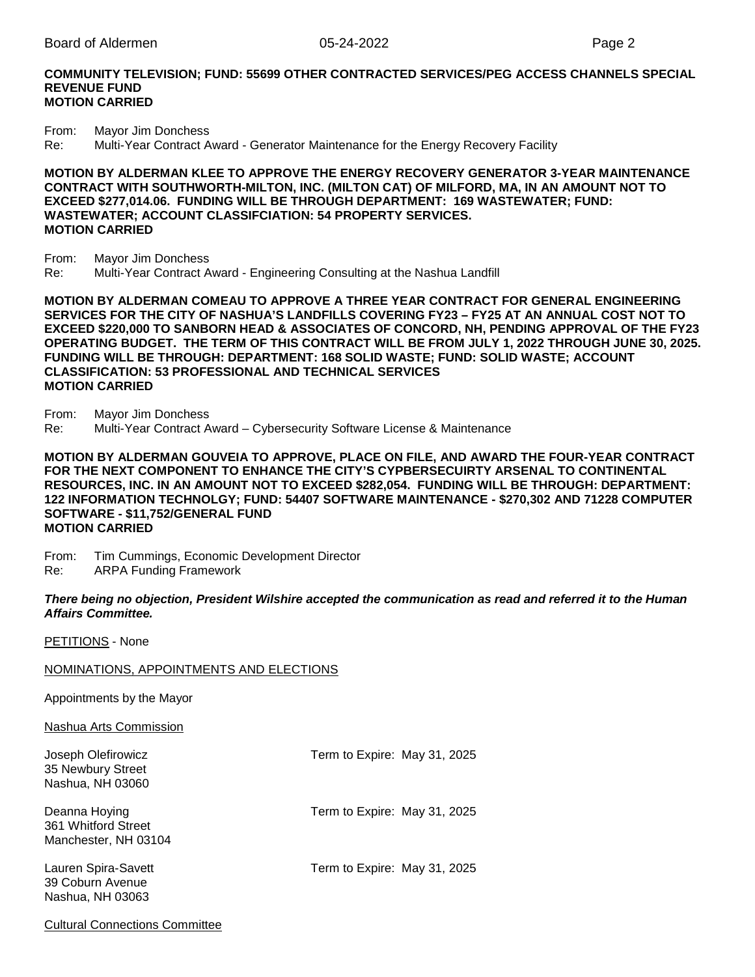#### **COMMUNITY TELEVISION; FUND: 55699 OTHER CONTRACTED SERVICES/PEG ACCESS CHANNELS SPECIAL REVENUE FUND MOTION CARRIED**

From: Mayor Jim Donchess<br>Re: Multi-Year Contract A Multi-Year Contract Award - Generator Maintenance for the Energy Recovery Facility

#### **MOTION BY ALDERMAN KLEE TO APPROVE THE ENERGY RECOVERY GENERATOR 3-YEAR MAINTENANCE CONTRACT WITH SOUTHWORTH-MILTON, INC. (MILTON CAT) OF MILFORD, MA, IN AN AMOUNT NOT TO EXCEED \$277,014.06. FUNDING WILL BE THROUGH DEPARTMENT: 169 WASTEWATER; FUND: WASTEWATER; ACCOUNT CLASSIFCIATION: 54 PROPERTY SERVICES. MOTION CARRIED**

From: Mayor Jim Donchess

Re: Multi-Year Contract Award - Engineering Consulting at the Nashua Landfill

**MOTION BY ALDERMAN COMEAU TO APPROVE A THREE YEAR CONTRACT FOR GENERAL ENGINEERING SERVICES FOR THE CITY OF NASHUA'S LANDFILLS COVERING FY23 – FY25 AT AN ANNUAL COST NOT TO EXCEED \$220,000 TO SANBORN HEAD & ASSOCIATES OF CONCORD, NH, PENDING APPROVAL OF THE FY23 OPERATING BUDGET. THE TERM OF THIS CONTRACT WILL BE FROM JULY 1, 2022 THROUGH JUNE 30, 2025. FUNDING WILL BE THROUGH: DEPARTMENT: 168 SOLID WASTE; FUND: SOLID WASTE; ACCOUNT CLASSIFICATION: 53 PROFESSIONAL AND TECHNICAL SERVICES MOTION CARRIED**

From: Mayor Jim Donchess Re: Multi-Year Contract Award – Cybersecurity Software License & Maintenance

**MOTION BY ALDERMAN GOUVEIA TO APPROVE, PLACE ON FILE, AND AWARD THE FOUR-YEAR CONTRACT FOR THE NEXT COMPONENT TO ENHANCE THE CITY'S CYPBERSECUIRTY ARSENAL TO CONTINENTAL RESOURCES, INC. IN AN AMOUNT NOT TO EXCEED \$282,054. FUNDING WILL BE THROUGH: DEPARTMENT: 122 INFORMATION TECHNOLGY; FUND: 54407 SOFTWARE MAINTENANCE - \$270,302 AND 71228 COMPUTER SOFTWARE - \$11,752/GENERAL FUND MOTION CARRIED**

From: Tim Cummings, Economic Development Director<br>Re: ARPA Funding Framework **ARPA Funding Framework** 

*There being no objection, President Wilshire accepted the communication as read and referred it to the Human Affairs Committee.*

PETITIONS - None

#### NOMINATIONS, APPOINTMENTS AND ELECTIONS

Appointments by the Mayor

Nashua Arts Commission

| Joseph Olefirowicz<br>35 Newbury Street<br>Nashua, NH 03060  | Term to Expire: May 31, 2025 |  |
|--------------------------------------------------------------|------------------------------|--|
| Deanna Hoying<br>361 Whitford Street<br>Manchester, NH 03104 | Term to Expire: May 31, 2025 |  |
| Lauren Spira-Savett<br>39 Coburn Avenue<br>Nashua, NH 03063  | Term to Expire: May 31, 2025 |  |

Cultural Connections Committee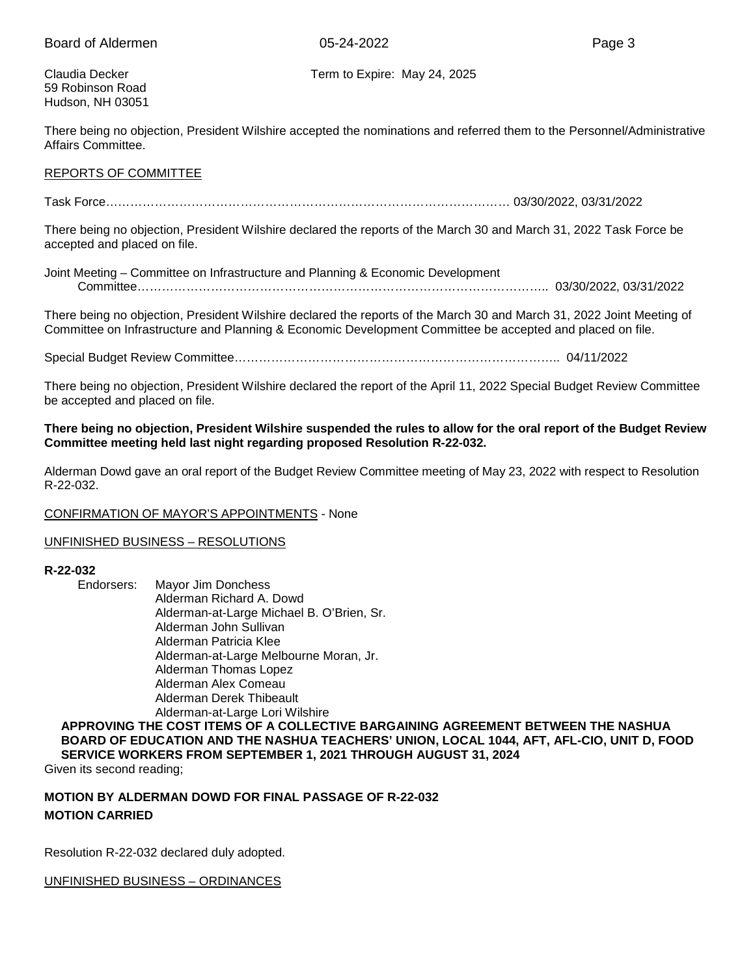59 Robinson Road Hudson, NH 03051

Claudia Decker Term to Expire: May 24, 2025

There being no objection, President Wilshire accepted the nominations and referred them to the Personnel/Administrative Affairs Committee.

#### REPORTS OF COMMITTEE

Task Force……………………………………………………………………………………… 03/30/2022, 03/31/2022

There being no objection, President Wilshire declared the reports of the March 30 and March 31, 2022 Task Force be accepted and placed on file.

Joint Meeting – Committee on Infrastructure and Planning & Economic Development Committee……………………………………………………………………………………….. 03/30/2022, 03/31/2022

There being no objection, President Wilshire declared the reports of the March 30 and March 31, 2022 Joint Meeting of Committee on Infrastructure and Planning & Economic Development Committee be accepted and placed on file.

Special Budget Review Committee…………………………………………………………………….. 04/11/2022

There being no objection, President Wilshire declared the report of the April 11, 2022 Special Budget Review Committee be accepted and placed on file.

#### **There being no objection, President Wilshire suspended the rules to allow for the oral report of the Budget Review Committee meeting held last night regarding proposed Resolution R-22-032.**

Alderman Dowd gave an oral report of the Budget Review Committee meeting of May 23, 2022 with respect to Resolution R-22-032.

#### CONFIRMATION OF MAYOR'S APPOINTMENTS - None

#### UNFINISHED BUSINESS – RESOLUTIONS

# **R-22-032**

Mayor Jim Donchess Alderman Richard A. Dowd Alderman-at-Large Michael B. O'Brien, Sr. Alderman John Sullivan Alderman Patricia Klee Alderman-at-Large Melbourne Moran, Jr. Alderman Thomas Lopez Alderman Alex Comeau Alderman Derek Thibeault Alderman-at-Large Lori Wilshire

#### **APPROVING THE COST ITEMS OF A COLLECTIVE BARGAINING AGREEMENT BETWEEN THE NASHUA BOARD OF EDUCATION AND THE NASHUA TEACHERS' UNION, LOCAL 1044, AFT, AFL-CIO, UNIT D, FOOD SERVICE WORKERS FROM SEPTEMBER 1, 2021 THROUGH AUGUST 31, 2024**

Given its second reading;

### **MOTION BY ALDERMAN DOWD FOR FINAL PASSAGE OF R-22-032 MOTION CARRIED**

Resolution R-22-032 declared duly adopted.

#### UNFINISHED BUSINESS – ORDINANCES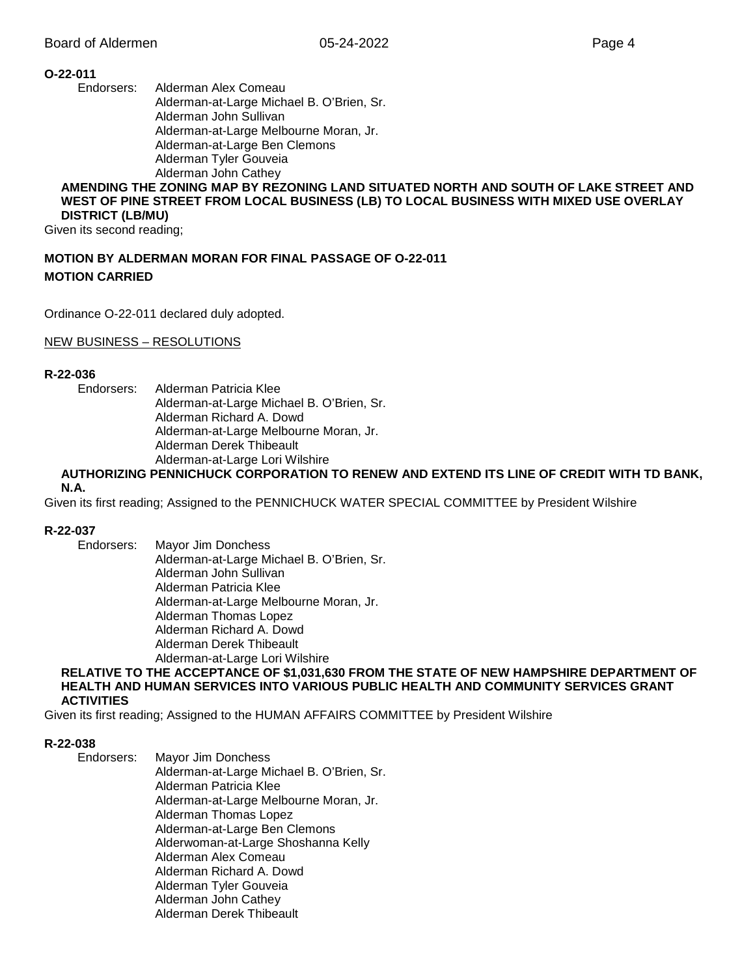#### **O-22-011**

Endorsers: Alderman Alex Comeau Alderman-at-Large Michael B. O'Brien, Sr. Alderman John Sullivan Alderman-at-Large Melbourne Moran, Jr. Alderman-at-Large Ben Clemons Alderman Tyler Gouveia Alderman John Cathey

#### **AMENDING THE ZONING MAP BY REZONING LAND SITUATED NORTH AND SOUTH OF LAKE STREET AND WEST OF PINE STREET FROM LOCAL BUSINESS (LB) TO LOCAL BUSINESS WITH MIXED USE OVERLAY DISTRICT (LB/MU)**

Given its second reading;

### **MOTION BY ALDERMAN MORAN FOR FINAL PASSAGE OF O-22-011 MOTION CARRIED**

Ordinance O-22-011 declared duly adopted.

NEW BUSINESS – RESOLUTIONS

#### **R-22-036**

Endorsers: Alderman Patricia Klee Alderman-at-Large Michael B. O'Brien, Sr. Alderman Richard A. Dowd Alderman-at-Large Melbourne Moran, Jr. Alderman Derek Thibeault Alderman-at-Large Lori Wilshire

## **AUTHORIZING PENNICHUCK CORPORATION TO RENEW AND EXTEND ITS LINE OF CREDIT WITH TD BANK,**

#### **N.A.**

Given its first reading; Assigned to the PENNICHUCK WATER SPECIAL COMMITTEE by President Wilshire

#### **R-22-037**

Endorsers: Mayor Jim Donchess Alderman-at-Large Michael B. O'Brien, Sr. Alderman John Sullivan Alderman Patricia Klee Alderman-at-Large Melbourne Moran, Jr. Alderman Thomas Lopez Alderman Richard A. Dowd Alderman Derek Thibeault Alderman-at-Large Lori Wilshire

#### **RELATIVE TO THE ACCEPTANCE OF \$1,031,630 FROM THE STATE OF NEW HAMPSHIRE DEPARTMENT OF HEALTH AND HUMAN SERVICES INTO VARIOUS PUBLIC HEALTH AND COMMUNITY SERVICES GRANT ACTIVITIES**

Given its first reading; Assigned to the HUMAN AFFAIRS COMMITTEE by President Wilshire

#### **R-22-038**

Endorsers: Mayor Jim Donchess Alderman-at-Large Michael B. O'Brien, Sr. Alderman Patricia Klee Alderman-at-Large Melbourne Moran, Jr. Alderman Thomas Lopez Alderman-at-Large Ben Clemons Alderwoman-at-Large Shoshanna Kelly Alderman Alex Comeau Alderman Richard A. Dowd Alderman Tyler Gouveia Alderman John Cathey Alderman Derek Thibeault